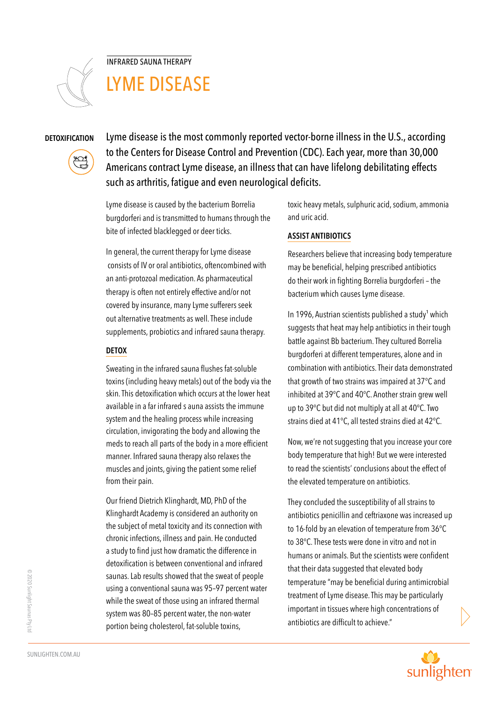

INFRARED SAUNA THERAPY LYME DISEASE

## **DETOXIFICATION**



Lyme disease is the most commonly reported vector-borne illness in the U.S., according to the Centers for Disease Control and Prevention (CDC). Each year, more than 30,000 Americans contract Lyme disease, an illness that can have lifelong debilitating effects such as arthritis, fatigue and even neurological deficits.

Lyme disease is caused by the bacterium Borrelia burgdorferi and is transmitted to humans through the bite of infected blacklegged or deer ticks.

In general, the current therapy for Lyme disease consists of IV or oral antibiotics, oftencombined with an anti-protozoal medication. As pharmaceutical therapy is often not entirely effective and/or not covered by insurance, many Lyme sufferers seek out alternative treatments as well. These include supplements, probiotics and infrared sauna therapy.

## **DETOX**

Sweating in the infrared sauna flushes fat-soluble toxins (including heavy metals) out of the body via the skin. This detoxification which occurs at the lower heat available in a far infrared s auna assists the immune system and the healing process while increasing circulation, invigorating the body and allowing the meds to reach all parts of the body in a more efficient manner. Infrared sauna therapy also relaxes the muscles and joints, giving the patient some relief from their pain.

Our friend Dietrich Klinghardt, MD, PhD of the Klinghardt Academy is considered an authority on the subject of metal toxicity and its connection with chronic infections, illness and pain. He conducted a study to find just how dramatic the difference in detoxification is between conventional and infrared saunas. Lab results showed that the sweat of people using a conventional sauna was 95–97 percent water while the sweat of those using an infrared thermal system was 80–85 percent water, the non-water portion being cholesterol, fat-soluble toxins,

toxic heavy metals, sulphuric acid, sodium, ammonia and uric acid.

## **ASSIST ANTIBIOTICS**

Researchers believe that increasing body temperature may be beneficial, helping prescribed antibiotics do their work in fighting Borrelia burgdorferi – the bacterium which causes Lyme disease.

In 1996, Austrian scientists published a study<sup>1</sup> which suggests that heat may help antibiotics in their tough battle against Bb bacterium. They cultured Borrelia burgdorferi at different temperatures, alone and in combination with antibiotics. Their data demonstrated that growth of two strains was impaired at 37°C and inhibited at 39°C and 40°C. Another strain grew well up to 39°C but did not multiply at all at 40°C. Two strains died at 41°C, all tested strains died at 42°C.

Now, we're not suggesting that you increase your core body temperature that high! But we were interested to read the scientists' conclusions about the effect of the elevated temperature on antibiotics.

They concluded the susceptibility of all strains to antibiotics penicillin and ceftriaxone was increased up to 16-fold by an elevation of temperature from 36°C to 38°C. These tests were done in vitro and not in humans or animals. But the scientists were confident that their data suggested that elevated body temperature "may be beneficial during antimicrobial treatment of Lyme disease. This may be particularly important in tissues where high concentrations of antibiotics are difficult to achieve."